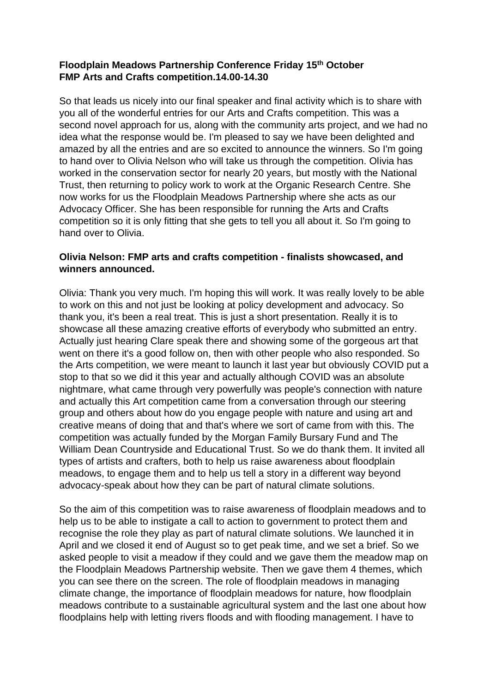# **Floodplain Meadows Partnership Conference Friday 15th October FMP Arts and Crafts competition.14.00-14.30**

So that leads us nicely into our final speaker and final activity which is to share with you all of the wonderful entries for our Arts and Crafts competition. This was a second novel approach for us, along with the community arts project, and we had no idea what the response would be. I'm pleased to say we have been delighted and amazed by all the entries and are so excited to announce the winners. So I'm going to hand over to Olivia Nelson who will take us through the competition. Olivia has worked in the conservation sector for nearly 20 years, but mostly with the National Trust, then returning to policy work to work at the Organic Research Centre. She now works for us the Floodplain Meadows Partnership where she acts as our Advocacy Officer. She has been responsible for running the Arts and Crafts competition so it is only fitting that she gets to tell you all about it. So I'm going to hand over to Olivia.

# **Olivia Nelson: FMP arts and crafts competition - finalists showcased, and winners announced.**

Olivia: Thank you very much. I'm hoping this will work. It was really lovely to be able to work on this and not just be looking at policy development and advocacy. So thank you, it's been a real treat. This is just a short presentation. Really it is to showcase all these amazing creative efforts of everybody who submitted an entry. Actually just hearing Clare speak there and showing some of the gorgeous art that went on there it's a good follow on, then with other people who also responded. So the Arts competition, we were meant to launch it last year but obviously COVID put a stop to that so we did it this year and actually although COVID was an absolute nightmare, what came through very powerfully was people's connection with nature and actually this Art competition came from a conversation through our steering group and others about how do you engage people with nature and using art and creative means of doing that and that's where we sort of came from with this. The competition was actually funded by the Morgan Family Bursary Fund and The William Dean Countryside and Educational Trust. So we do thank them. It invited all types of artists and crafters, both to help us raise awareness about floodplain meadows, to engage them and to help us tell a story in a different way beyond advocacy-speak about how they can be part of natural climate solutions.

So the aim of this competition was to raise awareness of floodplain meadows and to help us to be able to instigate a call to action to government to protect them and recognise the role they play as part of natural climate solutions. We launched it in April and we closed it end of August so to get peak time, and we set a brief. So we asked people to visit a meadow if they could and we gave them the meadow map on the Floodplain Meadows Partnership website. Then we gave them 4 themes, which you can see there on the screen. The role of floodplain meadows in managing climate change, the importance of floodplain meadows for nature, how floodplain meadows contribute to a sustainable agricultural system and the last one about how floodplains help with letting rivers floods and with flooding management. I have to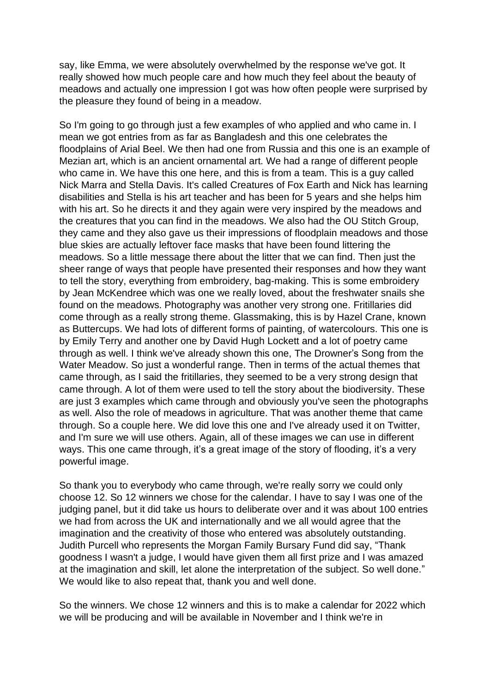say, like Emma, we were absolutely overwhelmed by the response we've got. It really showed how much people care and how much they feel about the beauty of meadows and actually one impression I got was how often people were surprised by the pleasure they found of being in a meadow.

So I'm going to go through just a few examples of who applied and who came in. I mean we got entries from as far as Bangladesh and this one celebrates the floodplains of Arial Beel. We then had one from Russia and this one is an example of Mezian art, which is an ancient ornamental art. We had a range of different people who came in. We have this one here, and this is from a team. This is a guy called Nick Marra and Stella Davis. It's called Creatures of Fox Earth and Nick has learning disabilities and Stella is his art teacher and has been for 5 years and she helps him with his art. So he directs it and they again were very inspired by the meadows and the creatures that you can find in the meadows. We also had the OU Stitch Group, they came and they also gave us their impressions of floodplain meadows and those blue skies are actually leftover face masks that have been found littering the meadows. So a little message there about the litter that we can find. Then just the sheer range of ways that people have presented their responses and how they want to tell the story, everything from embroidery, bag-making. This is some embroidery by Jean McKendree which was one we really loved, about the freshwater snails she found on the meadows. Photography was another very strong one. Fritillaries did come through as a really strong theme. Glassmaking, this is by Hazel Crane, known as Buttercups. We had lots of different forms of painting, of watercolours. This one is by Emily Terry and another one by David Hugh Lockett and a lot of poetry came through as well. I think we've already shown this one, The Drowner's Song from the Water Meadow. So just a wonderful range. Then in terms of the actual themes that came through, as I said the fritillaries, they seemed to be a very strong design that came through. A lot of them were used to tell the story about the biodiversity. These are just 3 examples which came through and obviously you've seen the photographs as well. Also the role of meadows in agriculture. That was another theme that came through. So a couple here. We did love this one and I've already used it on Twitter, and I'm sure we will use others. Again, all of these images we can use in different ways. This one came through, it's a great image of the story of flooding, it's a very powerful image.

So thank you to everybody who came through, we're really sorry we could only choose 12. So 12 winners we chose for the calendar. I have to say I was one of the judging panel, but it did take us hours to deliberate over and it was about 100 entries we had from across the UK and internationally and we all would agree that the imagination and the creativity of those who entered was absolutely outstanding. Judith Purcell who represents the Morgan Family Bursary Fund did say, "Thank goodness I wasn't a judge, I would have given them all first prize and I was amazed at the imagination and skill, let alone the interpretation of the subject. So well done." We would like to also repeat that, thank you and well done.

So the winners. We chose 12 winners and this is to make a calendar for 2022 which we will be producing and will be available in November and I think we're in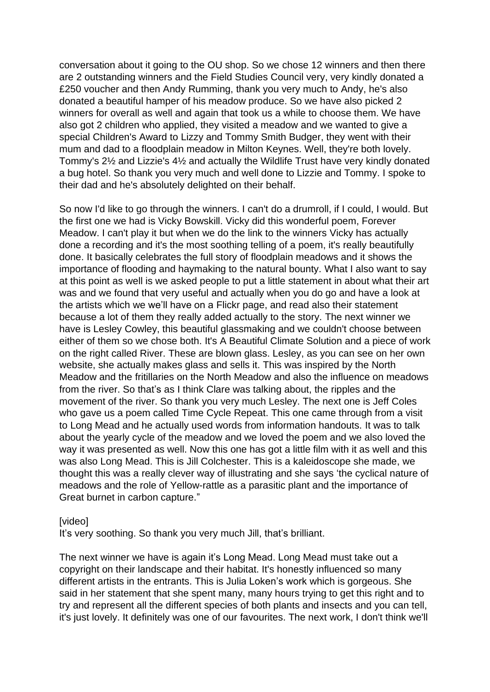conversation about it going to the OU shop. So we chose 12 winners and then there are 2 outstanding winners and the Field Studies Council very, very kindly donated a £250 voucher and then Andy Rumming, thank you very much to Andy, he's also donated a beautiful hamper of his meadow produce. So we have also picked 2 winners for overall as well and again that took us a while to choose them. We have also got 2 children who applied, they visited a meadow and we wanted to give a special Children's Award to Lizzy and Tommy Smith Budger, they went with their mum and dad to a floodplain meadow in Milton Keynes. Well, they're both lovely. Tommy's 2½ and Lizzie's 4½ and actually the Wildlife Trust have very kindly donated a bug hotel. So thank you very much and well done to Lizzie and Tommy. I spoke to their dad and he's absolutely delighted on their behalf.

So now I'd like to go through the winners. I can't do a drumroll, if I could, I would. But the first one we had is Vicky Bowskill. Vicky did this wonderful poem, Forever Meadow. I can't play it but when we do the link to the winners Vicky has actually done a recording and it's the most soothing telling of a poem, it's really beautifully done. It basically celebrates the full story of floodplain meadows and it shows the importance of flooding and haymaking to the natural bounty. What I also want to say at this point as well is we asked people to put a little statement in about what their art was and we found that very useful and actually when you do go and have a look at the artists which we we'll have on a Flickr page, and read also their statement because a lot of them they really added actually to the story. The next winner we have is Lesley Cowley, this beautiful glassmaking and we couldn't choose between either of them so we chose both. It's A Beautiful Climate Solution and a piece of work on the right called River. These are blown glass. Lesley, as you can see on her own website, she actually makes glass and sells it. This was inspired by the North Meadow and the fritillaries on the North Meadow and also the influence on meadows from the river. So that's as I think Clare was talking about, the ripples and the movement of the river. So thank you very much Lesley. The next one is Jeff Coles who gave us a poem called Time Cycle Repeat. This one came through from a visit to Long Mead and he actually used words from information handouts. It was to talk about the yearly cycle of the meadow and we loved the poem and we also loved the way it was presented as well. Now this one has got a little film with it as well and this was also Long Mead. This is Jill Colchester. This is a kaleidoscope she made, we thought this was a really clever way of illustrating and she says 'the cyclical nature of meadows and the role of Yellow-rattle as a parasitic plant and the importance of Great burnet in carbon capture."

#### [video]

It's very soothing. So thank you very much Jill, that's brilliant.

The next winner we have is again it's Long Mead. Long Mead must take out a copyright on their landscape and their habitat. It's honestly influenced so many different artists in the entrants. This is Julia Loken's work which is gorgeous. She said in her statement that she spent many, many hours trying to get this right and to try and represent all the different species of both plants and insects and you can tell, it's just lovely. It definitely was one of our favourites. The next work, I don't think we'll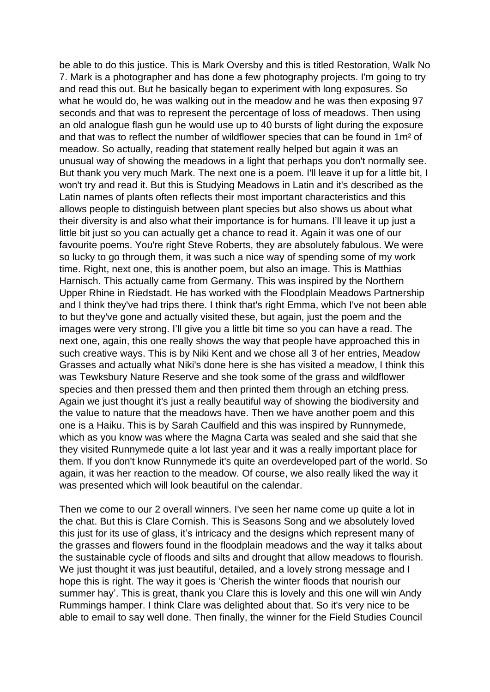be able to do this justice. This is Mark Oversby and this is titled Restoration, Walk No 7. Mark is a photographer and has done a few photography projects. I'm going to try and read this out. But he basically began to experiment with long exposures. So what he would do, he was walking out in the meadow and he was then exposing 97 seconds and that was to represent the percentage of loss of meadows. Then using an old analogue flash gun he would use up to 40 bursts of light during the exposure and that was to reflect the number of wildflower species that can be found in 1m² of meadow. So actually, reading that statement really helped but again it was an unusual way of showing the meadows in a light that perhaps you don't normally see. But thank you very much Mark. The next one is a poem. I'll leave it up for a little bit, I won't try and read it. But this is Studying Meadows in Latin and it's described as the Latin names of plants often reflects their most important characteristics and this allows people to distinguish between plant species but also shows us about what their diversity is and also what their importance is for humans. I'll leave it up just a little bit just so you can actually get a chance to read it. Again it was one of our favourite poems. You're right Steve Roberts, they are absolutely fabulous. We were so lucky to go through them, it was such a nice way of spending some of my work time. Right, next one, this is another poem, but also an image. This is Matthias Harnisch. This actually came from Germany. This was inspired by the Northern Upper Rhine in Riedstadt. He has worked with the Floodplain Meadows Partnership and I think they've had trips there. I think that's right Emma, which I've not been able to but they've gone and actually visited these, but again, just the poem and the images were very strong. I'll give you a little bit time so you can have a read. The next one, again, this one really shows the way that people have approached this in such creative ways. This is by Niki Kent and we chose all 3 of her entries, Meadow Grasses and actually what Niki's done here is she has visited a meadow, I think this was Tewksbury Nature Reserve and she took some of the grass and wildflower species and then pressed them and then printed them through an etching press. Again we just thought it's just a really beautiful way of showing the biodiversity and the value to nature that the meadows have. Then we have another poem and this one is a Haiku. This is by Sarah Caulfield and this was inspired by Runnymede, which as you know was where the Magna Carta was sealed and she said that she they visited Runnymede quite a lot last year and it was a really important place for them. If you don't know Runnymede it's quite an overdeveloped part of the world. So again, it was her reaction to the meadow. Of course, we also really liked the way it was presented which will look beautiful on the calendar.

Then we come to our 2 overall winners. I've seen her name come up quite a lot in the chat. But this is Clare Cornish. This is Seasons Song and we absolutely loved this just for its use of glass, it's intricacy and the designs which represent many of the grasses and flowers found in the floodplain meadows and the way it talks about the sustainable cycle of floods and silts and drought that allow meadows to flourish. We just thought it was just beautiful, detailed, and a lovely strong message and I hope this is right. The way it goes is 'Cherish the winter floods that nourish our summer hay'. This is great, thank you Clare this is lovely and this one will win Andy Rummings hamper. I think Clare was delighted about that. So it's very nice to be able to email to say well done. Then finally, the winner for the Field Studies Council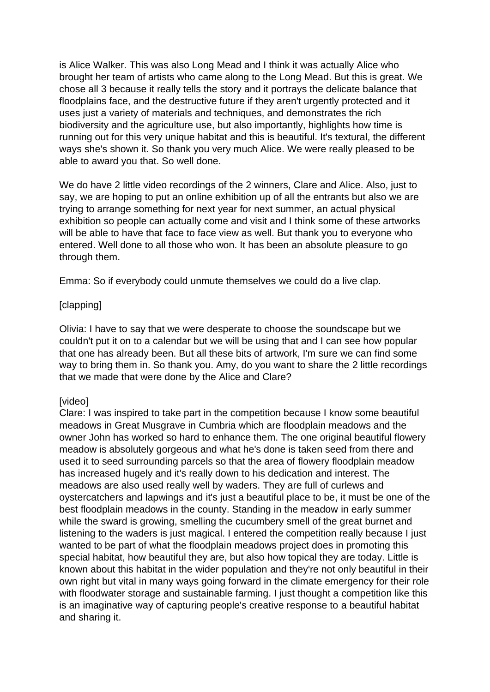is Alice Walker. This was also Long Mead and I think it was actually Alice who brought her team of artists who came along to the Long Mead. But this is great. We chose all 3 because it really tells the story and it portrays the delicate balance that floodplains face, and the destructive future if they aren't urgently protected and it uses just a variety of materials and techniques, and demonstrates the rich biodiversity and the agriculture use, but also importantly, highlights how time is running out for this very unique habitat and this is beautiful. It's textural, the different ways she's shown it. So thank you very much Alice. We were really pleased to be able to award you that. So well done.

We do have 2 little video recordings of the 2 winners, Clare and Alice. Also, just to say, we are hoping to put an online exhibition up of all the entrants but also we are trying to arrange something for next year for next summer, an actual physical exhibition so people can actually come and visit and I think some of these artworks will be able to have that face to face view as well. But thank you to everyone who entered. Well done to all those who won. It has been an absolute pleasure to go through them.

Emma: So if everybody could unmute themselves we could do a live clap.

## [clapping]

Olivia: I have to say that we were desperate to choose the soundscape but we couldn't put it on to a calendar but we will be using that and I can see how popular that one has already been. But all these bits of artwork, I'm sure we can find some way to bring them in. So thank you. Amy, do you want to share the 2 little recordings that we made that were done by the Alice and Clare?

## [video]

Clare: I was inspired to take part in the competition because I know some beautiful meadows in Great Musgrave in Cumbria which are floodplain meadows and the owner John has worked so hard to enhance them. The one original beautiful flowery meadow is absolutely gorgeous and what he's done is taken seed from there and used it to seed surrounding parcels so that the area of flowery floodplain meadow has increased hugely and it's really down to his dedication and interest. The meadows are also used really well by waders. They are full of curlews and oystercatchers and lapwings and it's just a beautiful place to be, it must be one of the best floodplain meadows in the county. Standing in the meadow in early summer while the sward is growing, smelling the cucumbery smell of the great burnet and listening to the waders is just magical. I entered the competition really because I just wanted to be part of what the floodplain meadows project does in promoting this special habitat, how beautiful they are, but also how topical they are today. Little is known about this habitat in the wider population and they're not only beautiful in their own right but vital in many ways going forward in the climate emergency for their role with floodwater storage and sustainable farming. I just thought a competition like this is an imaginative way of capturing people's creative response to a beautiful habitat and sharing it.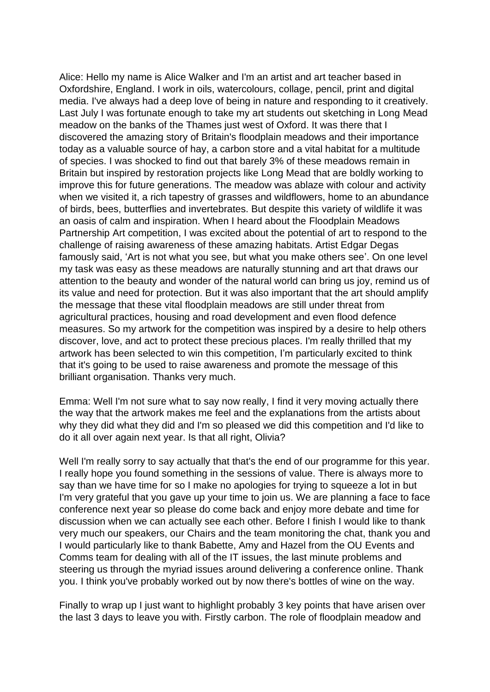Alice: Hello my name is Alice Walker and I'm an artist and art teacher based in Oxfordshire, England. I work in oils, watercolours, collage, pencil, print and digital media. I've always had a deep love of being in nature and responding to it creatively. Last July I was fortunate enough to take my art students out sketching in Long Mead meadow on the banks of the Thames just west of Oxford. It was there that I discovered the amazing story of Britain's floodplain meadows and their importance today as a valuable source of hay, a carbon store and a vital habitat for a multitude of species. I was shocked to find out that barely 3% of these meadows remain in Britain but inspired by restoration projects like Long Mead that are boldly working to improve this for future generations. The meadow was ablaze with colour and activity when we visited it, a rich tapestry of grasses and wildflowers, home to an abundance of birds, bees, butterflies and invertebrates. But despite this variety of wildlife it was an oasis of calm and inspiration. When I heard about the Floodplain Meadows Partnership Art competition, I was excited about the potential of art to respond to the challenge of raising awareness of these amazing habitats. Artist Edgar Degas famously said, 'Art is not what you see, but what you make others see'. On one level my task was easy as these meadows are naturally stunning and art that draws our attention to the beauty and wonder of the natural world can bring us joy, remind us of its value and need for protection. But it was also important that the art should amplify the message that these vital floodplain meadows are still under threat from agricultural practices, housing and road development and even flood defence measures. So my artwork for the competition was inspired by a desire to help others discover, love, and act to protect these precious places. I'm really thrilled that my artwork has been selected to win this competition, I'm particularly excited to think that it's going to be used to raise awareness and promote the message of this brilliant organisation. Thanks very much.

Emma: Well I'm not sure what to say now really, I find it very moving actually there the way that the artwork makes me feel and the explanations from the artists about why they did what they did and I'm so pleased we did this competition and I'd like to do it all over again next year. Is that all right, Olivia?

Well I'm really sorry to say actually that that's the end of our programme for this year. I really hope you found something in the sessions of value. There is always more to say than we have time for so I make no apologies for trying to squeeze a lot in but I'm very grateful that you gave up your time to join us. We are planning a face to face conference next year so please do come back and enjoy more debate and time for discussion when we can actually see each other. Before I finish I would like to thank very much our speakers, our Chairs and the team monitoring the chat, thank you and I would particularly like to thank Babette, Amy and Hazel from the OU Events and Comms team for dealing with all of the IT issues, the last minute problems and steering us through the myriad issues around delivering a conference online. Thank you. I think you've probably worked out by now there's bottles of wine on the way.

Finally to wrap up I just want to highlight probably 3 key points that have arisen over the last 3 days to leave you with. Firstly carbon. The role of floodplain meadow and